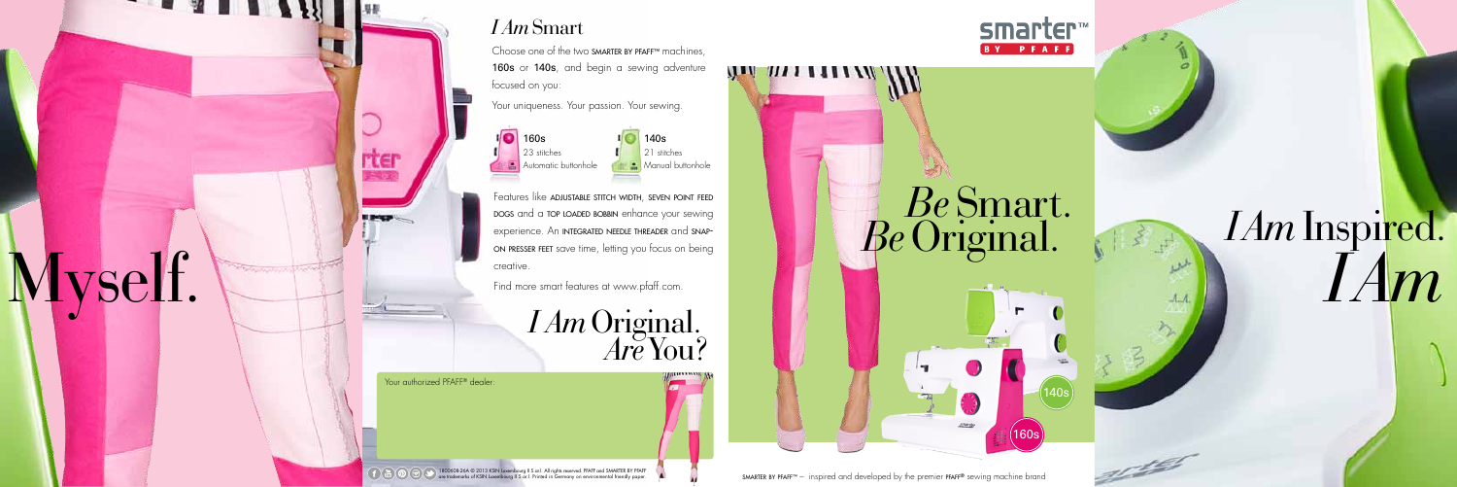1800608-26A © 2013 KSIN Luxembourg II S.ar.l. All rights reserved. PFAFF and SMARTER BY PFAFF are trademarks of KSIN Luxembourg II S.ar.l. Printed in Germany on environmental friendly paper.

160s

140s



### *I Am*Smart

Choose one of the two smarter by pfaff™ machines, 160s or 140s, and begin a sewing adventure focused on you:

Features like **ADJUSTABLE STITCH WIDTH, SEVEN POINT FEED** dogs and a top loaded bobbin enhance your sewing experience. An integrated needle threader and snapon presser feet save time, letting you focus on being creative.

Your uniqueness. Your passion. Your sewing.

*Are* You? *I Am*Original.

Your authorized PFAFF® dealer:

**rter** 

Myself.

**TALLAR** 

#### smarter **BY PFAFF**

Find more smart features at www.pfaff.com.

smarter by pfaff™ – inspired and developed by the premier pfaff® sewing machine brand

 $\mathcal{H}$  and  $\mathcal{H}$  and  $\mathcal{H}$ 



## *I Am I Am*Inspired.